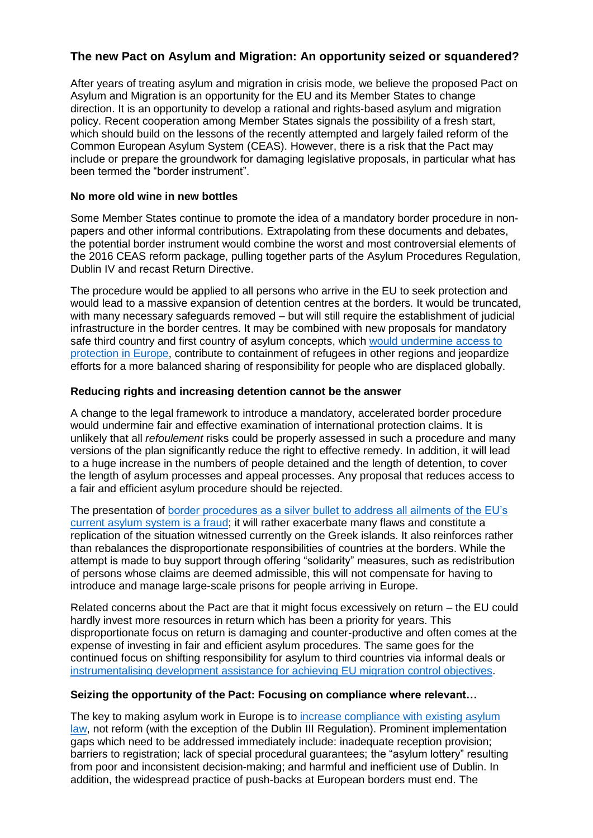# **The new Pact on Asylum and Migration: An opportunity seized or squandered?**

After years of treating asylum and migration in crisis mode, we believe the proposed Pact on Asylum and Migration is an opportunity for the EU and its Member States to change direction. It is an opportunity to develop a rational and rights-based asylum and migration policy. Recent cooperation among Member States signals the possibility of a fresh start, which should build on the lessons of the recently attempted and largely failed reform of the Common European Asylum System (CEAS). However, there is a risk that the Pact may include or prepare the groundwork for damaging legislative proposals, in particular what has been termed the "border instrument".

### **No more old wine in new bottles**

Some Member States continue to promote the idea of a mandatory border procedure in nonpapers and other informal contributions. Extrapolating from these documents and debates, the potential border instrument would combine the worst and most controversial elements of the 2016 CEAS reform package, pulling together parts of the Asylum Procedures Regulation, Dublin IV and recast Return Directive.

The procedure would be applied to all persons who arrive in the EU to seek protection and would lead to a massive expansion of detention centres at the borders. It would be truncated, with many necessary safeguards removed – but will still require the establishment of judicial infrastructure in the border centres. It may be combined with new proposals for mandatory safe third country and first country of asylum concepts, which [would undermine access to](about:blank)  [protection in Europe,](about:blank) contribute to containment of refugees in other regions and jeopardize efforts for a more balanced sharing of responsibility for people who are displaced globally.

### **Reducing rights and increasing detention cannot be the answer**

A change to the legal framework to introduce a mandatory, accelerated border procedure would undermine fair and effective examination of international protection claims. It is unlikely that all *refoulement* risks could be properly assessed in such a procedure and many versions of the plan significantly reduce the right to effective remedy. In addition, it will lead to a huge increase in the numbers of people detained and the length of detention, to cover the length of asylum processes and appeal processes. Any proposal that reduces access to a fair and efficient asylum procedure should be rejected.

The presentation of [border procedures as a silver bullet to address all ailments of the EU's](about:blank)  [current asylum system is a fraud;](about:blank) it will rather exacerbate many flaws and constitute a replication of the situation witnessed currently on the Greek islands. It also reinforces rather than rebalances the disproportionate responsibilities of countries at the borders. While the attempt is made to buy support through offering "solidarity" measures, such as redistribution of persons whose claims are deemed admissible, this will not compensate for having to introduce and manage large-scale prisons for people arriving in Europe.

Related concerns about the Pact are that it might focus excessively on return – the EU could hardly invest more resources in return which has been a priority for years. This disproportionate focus on return is damaging and counter-productive and often comes at the expense of investing in fair and efficient asylum procedures. The same goes for the continued focus on shifting responsibility for asylum to third countries via informal deals or [instrumentalising development assistance for achieving EU migration control objectives.](about:blank)

### **Seizing the opportunity of the Pact: Focusing on compliance where relevant…**

The key to making asylum work in Europe is to [increase compliance with existing asylum](about:blank)  [law,](about:blank) not reform (with the exception of the Dublin III Regulation). Prominent implementation gaps which need to be addressed immediately include: inadequate reception provision; barriers to registration; lack of special procedural guarantees; the "asylum lottery" resulting from poor and inconsistent decision-making; and harmful and inefficient use of Dublin. In addition, the widespread practice of push-backs at European borders must end. The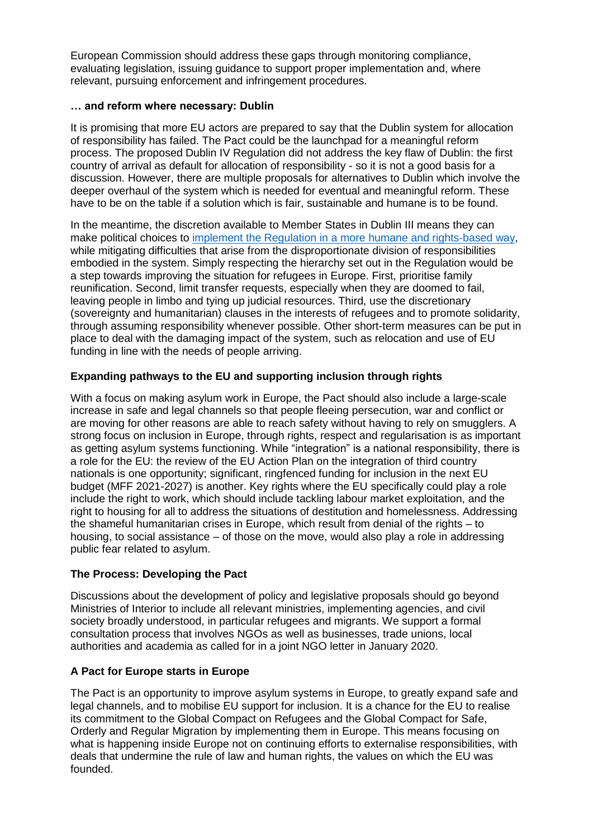European Commission should address these gaps through monitoring compliance, evaluating legislation, issuing guidance to support proper implementation and, where relevant, pursuing enforcement and infringement procedures.

### **… and reform where necessary: Dublin**

It is promising that more EU actors are prepared to say that the Dublin system for allocation of responsibility has failed. The Pact could be the launchpad for a meaningful reform process. The proposed Dublin IV Regulation did not address the key flaw of Dublin: the first country of arrival as default for allocation of responsibility - so it is not a good basis for a discussion. However, there are multiple proposals for alternatives to Dublin which involve the deeper overhaul of the system which is needed for eventual and meaningful reform. These have to be on the table if a solution which is fair, sustainable and humane is to be found.

In the meantime, the discretion available to Member States in Dublin III means they can make political choices to [implement the Regulation in a more humane and rights-based way,](about:blank) while mitigating difficulties that arise from the disproportionate division of responsibilities embodied in the system. Simply respecting the hierarchy set out in the Regulation would be a step towards improving the situation for refugees in Europe. First, prioritise family reunification. Second, limit transfer requests, especially when they are doomed to fail, leaving people in limbo and tying up judicial resources. Third, use the discretionary (sovereignty and humanitarian) clauses in the interests of refugees and to promote solidarity, through assuming responsibility whenever possible. Other short-term measures can be put in place to deal with the damaging impact of the system, such as relocation and use of EU funding in line with the needs of people arriving.

# **Expanding pathways to the EU and supporting inclusion through rights**

With a focus on making asylum work in Europe, the Pact should also include a large-scale increase in safe and legal channels so that people fleeing persecution, war and conflict or are moving for other reasons are able to reach safety without having to rely on smugglers. A strong focus on inclusion in Europe, through rights, respect and regularisation is as important as getting asylum systems functioning. While "integration" is a national responsibility, there is a role for the EU: the review of the EU Action Plan on the integration of third country nationals is one opportunity; significant, ringfenced funding for inclusion in the next EU budget (MFF 2021-2027) is another. Key rights where the EU specifically could play a role include the right to work, which should include tackling labour market exploitation, and the right to housing for all to address the situations of destitution and homelessness. Addressing the shameful humanitarian crises in Europe, which result from denial of the rights – to housing, to social assistance – of those on the move, would also play a role in addressing public fear related to asylum.

# **The Process: Developing the Pact**

Discussions about the development of policy and legislative proposals should go beyond Ministries of Interior to include all relevant ministries, implementing agencies, and civil society broadly understood, in particular refugees and migrants. We support a formal consultation process that involves NGOs as well as businesses, trade unions, local authorities and academia as called for in a joint NGO letter in January 2020.

# **A Pact for Europe starts in Europe**

The Pact is an opportunity to improve asylum systems in Europe, to greatly expand safe and legal channels, and to mobilise EU support for inclusion. It is a chance for the EU to realise its commitment to the Global Compact on Refugees and the Global Compact for Safe, Orderly and Regular Migration by implementing them in Europe. This means focusing on what is happening inside Europe not on continuing efforts to externalise responsibilities, with deals that undermine the rule of law and human rights, the values on which the EU was founded.